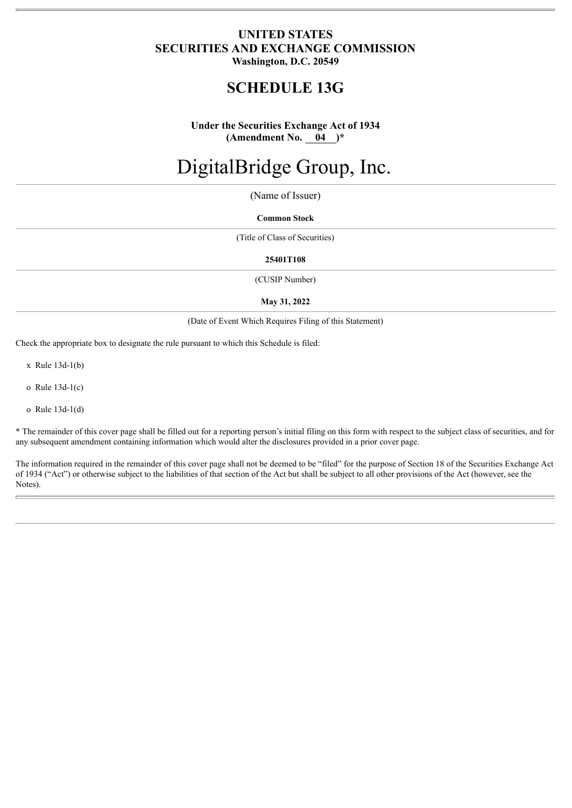## **UNITED STATES SECURITIES AND EXCHANGE COMMISSION Washington, D.C. 20549**

# **SCHEDULE 13G**

**Under the Securities Exchange Act of 1934 (Amendment No. 04 )\***

# DigitalBridge Group, Inc.

(Name of Issuer)

#### **Common Stock**

(Title of Class of Securities)

#### **25401T108**

(CUSIP Number)

#### **May 31, 2022**

(Date of Event Which Requires Filing of this Statement)

Check the appropriate box to designate the rule pursuant to which this Schedule is filed:

x Rule 13d-1(b)

o Rule 13d-1(c)

o Rule 13d-1(d)

\* The remainder of this cover page shall be filled out for a reporting person's initial filing on this form with respect to the subject class of securities, and for any subsequent amendment containing information which would alter the disclosures provided in a prior cover page.

The information required in the remainder of this cover page shall not be deemed to be "filed" for the purpose of Section 18 of the Securities Exchange Act of 1934 ("Act") or otherwise subject to the liabilities of that section of the Act but shall be subject to all other provisions of the Act (however, see the Notes).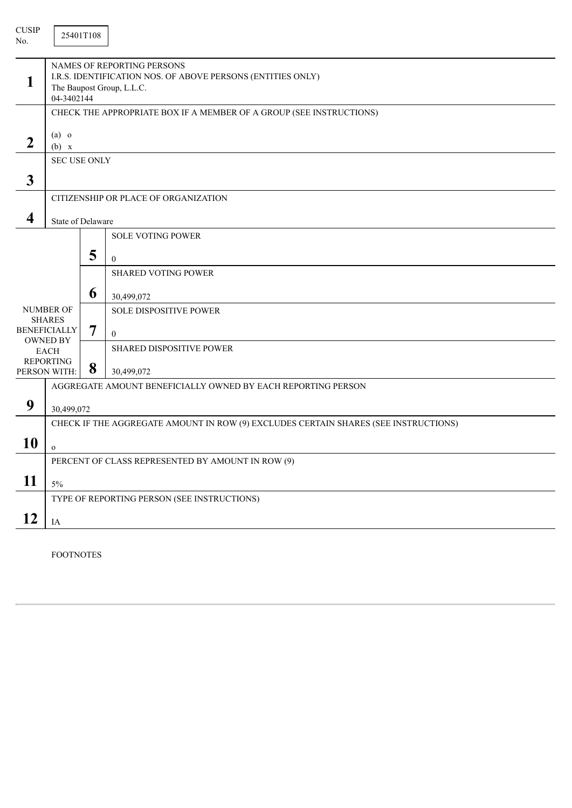| <b>CUSIP</b><br>No.     | 25401T108                                                                                                                            |   |                                                                                     |  |  |  |
|-------------------------|--------------------------------------------------------------------------------------------------------------------------------------|---|-------------------------------------------------------------------------------------|--|--|--|
| 1                       | NAMES OF REPORTING PERSONS<br>I.R.S. IDENTIFICATION NOS. OF ABOVE PERSONS (ENTITIES ONLY)<br>The Baupost Group, L.L.C.<br>04-3402144 |   |                                                                                     |  |  |  |
|                         |                                                                                                                                      |   | CHECK THE APPROPRIATE BOX IF A MEMBER OF A GROUP (SEE INSTRUCTIONS)                 |  |  |  |
| $\boldsymbol{2}$        | $(a)$ o<br>(b) x                                                                                                                     |   |                                                                                     |  |  |  |
|                         | <b>SEC USE ONLY</b>                                                                                                                  |   |                                                                                     |  |  |  |
| $\mathbf{3}$            |                                                                                                                                      |   |                                                                                     |  |  |  |
|                         | CITIZENSHIP OR PLACE OF ORGANIZATION                                                                                                 |   |                                                                                     |  |  |  |
| $\overline{\mathbf{4}}$ | State of Delaware                                                                                                                    |   |                                                                                     |  |  |  |
|                         |                                                                                                                                      |   | SOLE VOTING POWER                                                                   |  |  |  |
|                         |                                                                                                                                      | 5 | $\mathbf{0}$                                                                        |  |  |  |
|                         |                                                                                                                                      |   | <b>SHARED VOTING POWER</b>                                                          |  |  |  |
|                         |                                                                                                                                      | 6 |                                                                                     |  |  |  |
|                         | <b>NUMBER OF</b>                                                                                                                     |   | 30,499,072<br><b>SOLE DISPOSITIVE POWER</b>                                         |  |  |  |
|                         | <b>SHARES</b>                                                                                                                        |   |                                                                                     |  |  |  |
|                         | <b>BENEFICIALLY</b><br><b>OWNED BY</b>                                                                                               | 7 | $\mathbf{0}$                                                                        |  |  |  |
|                         | <b>EACH</b>                                                                                                                          |   | SHARED DISPOSITIVE POWER                                                            |  |  |  |
|                         | <b>REPORTING</b><br>PERSON WITH:                                                                                                     | 8 | 30,499,072                                                                          |  |  |  |
|                         |                                                                                                                                      |   | AGGREGATE AMOUNT BENEFICIALLY OWNED BY EACH REPORTING PERSON                        |  |  |  |
| 9                       | 30,499,072                                                                                                                           |   |                                                                                     |  |  |  |
|                         |                                                                                                                                      |   | CHECK IF THE AGGREGATE AMOUNT IN ROW (9) EXCLUDES CERTAIN SHARES (SEE INSTRUCTIONS) |  |  |  |
| <b>10</b>               | $\mathbf{o}$                                                                                                                         |   |                                                                                     |  |  |  |
|                         | PERCENT OF CLASS REPRESENTED BY AMOUNT IN ROW (9)                                                                                    |   |                                                                                     |  |  |  |
| 11                      | $5\%$                                                                                                                                |   |                                                                                     |  |  |  |
|                         |                                                                                                                                      |   | TYPE OF REPORTING PERSON (SEE INSTRUCTIONS)                                         |  |  |  |
| 12                      | $\rm IA$                                                                                                                             |   |                                                                                     |  |  |  |

FOOTNOTES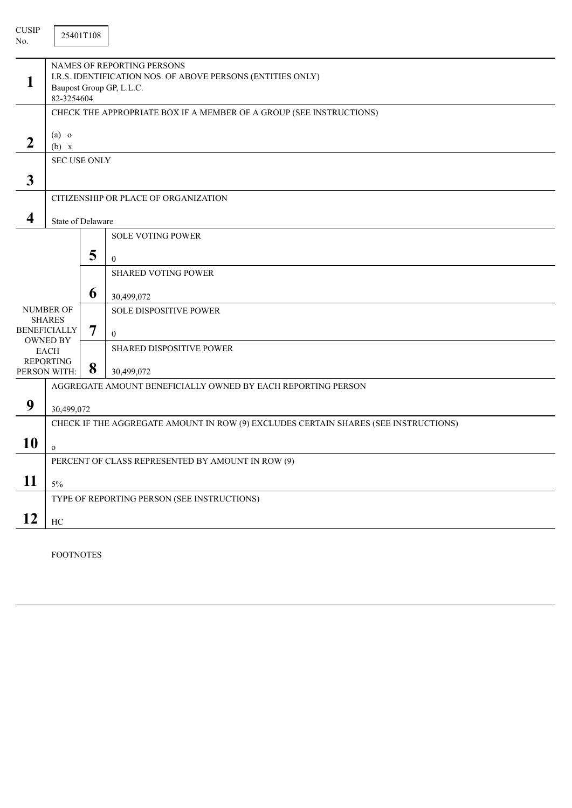| <b>CUSIP</b><br>No. |                                                                                                                                     | 25401T108 |                                                                     |  |  |  |
|---------------------|-------------------------------------------------------------------------------------------------------------------------------------|-----------|---------------------------------------------------------------------|--|--|--|
|                     | NAMES OF REPORTING PERSONS<br>I.R.S. IDENTIFICATION NOS. OF ABOVE PERSONS (ENTITIES ONLY)<br>Baupost Group GP, L.L.C.<br>82-3254604 |           |                                                                     |  |  |  |
|                     |                                                                                                                                     |           | CHECK THE APPROPRIATE BOX IF A MEMBER OF A GROUP (SEE INSTRUCTIONS) |  |  |  |
| $\overline{2}$      | $(a)$ o<br>(b) x                                                                                                                    |           |                                                                     |  |  |  |
|                     | <b>SEC USE ONLY</b>                                                                                                                 |           |                                                                     |  |  |  |
| $\mathbf{3}$        |                                                                                                                                     |           |                                                                     |  |  |  |
|                     |                                                                                                                                     |           | CITIZENSHIP OR PLACE OF ORGANIZATION                                |  |  |  |
| 4                   | State of Delaware                                                                                                                   |           |                                                                     |  |  |  |
|                     |                                                                                                                                     |           | <b>SOLE VOTING POWER</b>                                            |  |  |  |
|                     |                                                                                                                                     | 5         |                                                                     |  |  |  |
|                     |                                                                                                                                     |           | $\overline{0}$<br><b>SHARED VOTING POWER</b>                        |  |  |  |
|                     |                                                                                                                                     |           |                                                                     |  |  |  |
|                     |                                                                                                                                     | 6         | 30,499,072                                                          |  |  |  |
|                     | <b>NUMBER OF</b><br><b>SHARES</b>                                                                                                   |           | <b>SOLE DISPOSITIVE POWER</b>                                       |  |  |  |
|                     | <b>BENEFICIALLY</b>                                                                                                                 | 7         | $\mathbf{0}$                                                        |  |  |  |
|                     | <b>OWNED BY</b><br><b>EACH</b>                                                                                                      |           | SHARED DISPOSITIVE POWER                                            |  |  |  |
|                     | <b>REPORTING</b><br>PERSON WITH:                                                                                                    | 8         | 30,499,072                                                          |  |  |  |
|                     |                                                                                                                                     |           | AGGREGATE AMOUNT BENEFICIALLY OWNED BY EACH REPORTING PERSON        |  |  |  |
| 9                   |                                                                                                                                     |           |                                                                     |  |  |  |
|                     | 30,499,072<br>CHECK IF THE AGGREGATE AMOUNT IN ROW (9) EXCLUDES CERTAIN SHARES (SEE INSTRUCTIONS)                                   |           |                                                                     |  |  |  |
|                     |                                                                                                                                     |           |                                                                     |  |  |  |
| 10                  | $\mathbf{o}$                                                                                                                        |           |                                                                     |  |  |  |
|                     |                                                                                                                                     |           | PERCENT OF CLASS REPRESENTED BY AMOUNT IN ROW (9)                   |  |  |  |
| 11                  | 5%                                                                                                                                  |           |                                                                     |  |  |  |
|                     |                                                                                                                                     |           | TYPE OF REPORTING PERSON (SEE INSTRUCTIONS)                         |  |  |  |
| 12                  | $\rm HC$                                                                                                                            |           |                                                                     |  |  |  |

FOOTNOTES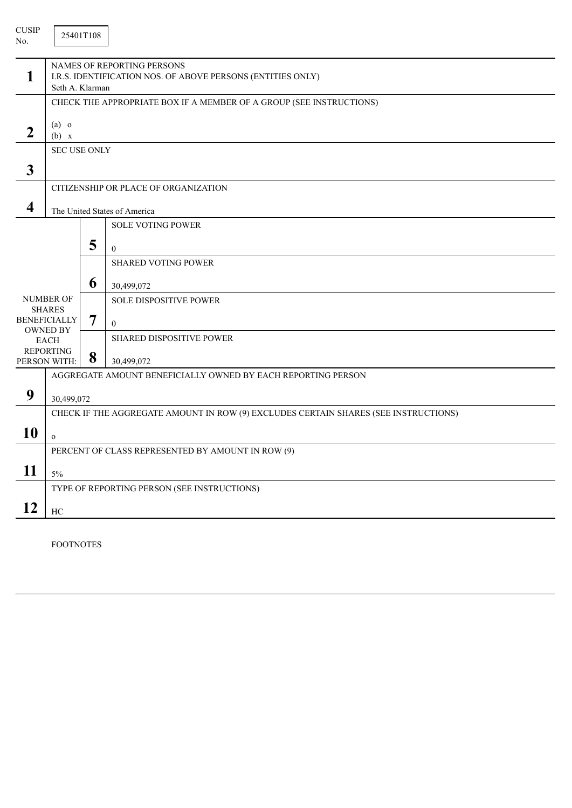| <b>CUSIP</b><br>No.     |                                                                                                                     | 25401T108 |                                                                     |
|-------------------------|---------------------------------------------------------------------------------------------------------------------|-----------|---------------------------------------------------------------------|
| 1                       | <b>NAMES OF REPORTING PERSONS</b><br>I.R.S. IDENTIFICATION NOS. OF ABOVE PERSONS (ENTITIES ONLY)<br>Seth A. Klarman |           |                                                                     |
|                         |                                                                                                                     |           | CHECK THE APPROPRIATE BOX IF A MEMBER OF A GROUP (SEE INSTRUCTIONS) |
| $\overline{2}$          | $(a)$ o<br>(b) x                                                                                                    |           |                                                                     |
|                         | <b>SEC USE ONLY</b>                                                                                                 |           |                                                                     |
| $\overline{\mathbf{3}}$ |                                                                                                                     |           |                                                                     |
|                         |                                                                                                                     |           | CITIZENSHIP OR PLACE OF ORGANIZATION                                |
| 4                       | The United States of America                                                                                        |           |                                                                     |
|                         |                                                                                                                     |           | <b>SOLE VOTING POWER</b>                                            |
|                         |                                                                                                                     | 5         | $\mathbf{0}$                                                        |
|                         |                                                                                                                     |           | <b>SHARED VOTING POWER</b>                                          |
|                         |                                                                                                                     | 6         | 30,499,072                                                          |
|                         | NUMBER OF<br><b>SHARES</b>                                                                                          |           | <b>SOLE DISPOSITIVE POWER</b>                                       |
|                         | <b>BENEFICIALLY</b>                                                                                                 | 7         | $\mathbf{0}$                                                        |
|                         | <b>OWNED BY</b><br><b>EACH</b>                                                                                      |           | SHARED DISPOSITIVE POWER                                            |
|                         | <b>REPORTING</b><br>PERSON WITH:                                                                                    | 8         | 30,499,072                                                          |
|                         |                                                                                                                     |           | AGGREGATE AMOUNT BENEFICIALLY OWNED BY EACH REPORTING PERSON        |
| 9                       | 30,499,072                                                                                                          |           |                                                                     |
|                         | CHECK IF THE AGGREGATE AMOUNT IN ROW (9) EXCLUDES CERTAIN SHARES (SEE INSTRUCTIONS)                                 |           |                                                                     |
| 10                      | $\mathbf{o}$                                                                                                        |           |                                                                     |
|                         | PERCENT OF CLASS REPRESENTED BY AMOUNT IN ROW (9)                                                                   |           |                                                                     |
| 11                      | 5%                                                                                                                  |           |                                                                     |
|                         |                                                                                                                     |           | TYPE OF REPORTING PERSON (SEE INSTRUCTIONS)                         |
| 12                      | HC                                                                                                                  |           |                                                                     |

FOOTNOTES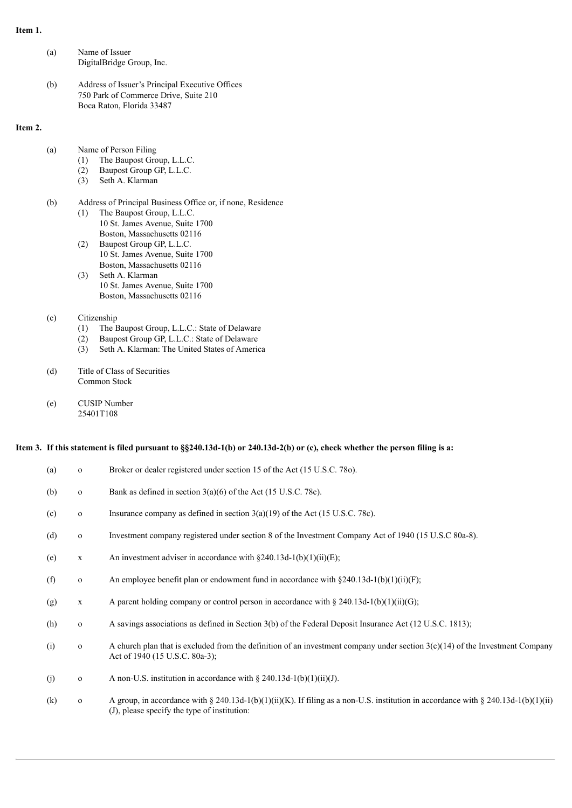#### **Item 1.**

**Item 2.**

| (a) | Name of Issuer<br>DigitalBridge Group, Inc.                                                                            |
|-----|------------------------------------------------------------------------------------------------------------------------|
| (b) | Address of Issuer's Principal Executive Offices<br>750 Park of Commerce Drive, Suite 210<br>Boca Raton, Florida 33487  |
| (a) | Name of Person Filing<br>The Baupost Group, L.L.C.<br>(1)<br>Baupost Group GP, L.L.C.<br>(2)<br>Seth A. Klarman<br>(3) |

- (b) Address of Principal Business Office or, if none, Residence (1) The Baupost Group, L.L.C. 10 St. James Avenue, Suite 1700 Boston, Massachusetts 02116
	- (2) Baupost Group GP, L.L.C. 10 St. James Avenue, Suite 1700 Boston, Massachusetts 02116
	- (3) Seth A. Klarman 10 St. James Avenue, Suite 1700 Boston, Massachusetts 02116

#### (c) Citizenship

- (1) The Baupost Group, L.L.C.: State of Delaware
- (2) Baupost Group GP, L.L.C.: State of Delaware
- (3) Seth A. Klarman: The United States of America
- (d) Title of Class of Securities Common Stock
- (e) CUSIP Number 25401T108

#### Item 3. If this statement is filed pursuant to §§240.13d-1(b) or 240.13d-2(b) or (c), check whether the person filing is a:

| (a) | $\mathbf{O}$ | Broker or dealer registered under section 15 of the Act (15 U.S.C. 780).                                                                                                           |
|-----|--------------|------------------------------------------------------------------------------------------------------------------------------------------------------------------------------------|
| (b) | $\mathbf{O}$ | Bank as defined in section $3(a)(6)$ of the Act (15 U.S.C. 78c).                                                                                                                   |
| (c) | $\mathbf 0$  | Insurance company as defined in section $3(a)(19)$ of the Act (15 U.S.C. 78c).                                                                                                     |
| (d) | $\mathbf 0$  | Investment company registered under section 8 of the Investment Company Act of 1940 (15 U.S.C 80a-8).                                                                              |
| (e) | $\mathbf X$  | An investment adviser in accordance with $\S 240.13d-1(b)(1)(ii)(E)$ ;                                                                                                             |
| (f) | $\mathbf{0}$ | An employee benefit plan or endowment fund in accordance with $\S 240.13d-1(b)(1)(ii)(F)$ ;                                                                                        |
| (g) | $\mathbf X$  | A parent holding company or control person in accordance with § 240.13d-1(b)(1)(ii)(G);                                                                                            |
| (h) | $\mathbf 0$  | A savings associations as defined in Section 3(b) of the Federal Deposit Insurance Act (12 U.S.C. 1813);                                                                           |
| (i) | $\mathbf{0}$ | A church plan that is excluded from the definition of an investment company under section $3(c)(14)$ of the Investment Company<br>Act of 1940 (15 U.S.C. 80a-3);                   |
| (j) | $\mathbf 0$  | A non-U.S. institution in accordance with $\S 240.13d-1(b)(1)(ii)(J)$ .                                                                                                            |
| (k) | $\mathbf{O}$ | A group, in accordance with § 240.13d-1(b)(1)(ii)(K). If filing as a non-U.S. institution in accordance with § 240.13d-1(b)(1)(ii)<br>(J), please specify the type of institution: |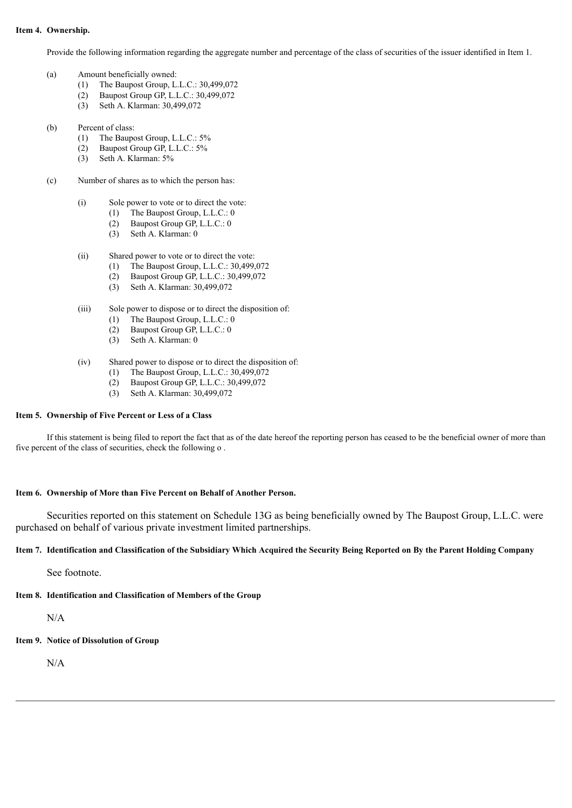#### **Item 4. Ownership.**

Provide the following information regarding the aggregate number and percentage of the class of securities of the issuer identified in Item 1.

- (a) Amount beneficially owned:
	- (1) The Baupost Group, L.L.C.: 30,499,072
	- (2) Baupost Group GP, L.L.C.: 30,499,072
	- (3) Seth A. Klarman: 30,499,072
- (b) Percent of class:
	- (1) The Baupost Group, L.L.C.: 5%
	- (2) Baupost Group GP, L.L.C.: 5%
	- (3) Seth A. Klarman: 5%
- (c) Number of shares as to which the person has:
	- (i) Sole power to vote or to direct the vote:
		- (1) The Baupost Group, L.L.C.: 0
			- (2) Baupost Group GP, L.L.C.: 0
			- (3) Seth A. Klarman: 0
	- (ii) Shared power to vote or to direct the vote:
		- (1) The Baupost Group, L.L.C.: 30,499,072
			- (2) Baupost Group GP, L.L.C.: 30,499,072
			- (3) Seth A. Klarman: 30,499,072
	- (iii) Sole power to dispose or to direct the disposition of:
		- (1) The Baupost Group, L.L.C.: 0
		- (2) Baupost Group GP, L.L.C.: 0
		- (3) Seth A. Klarman: 0
	- (iv) Shared power to dispose or to direct the disposition of:
		- (1) The Baupost Group, L.L.C.: 30,499,072
		- (2) Baupost Group GP, L.L.C.: 30,499,072
		- (3) Seth A. Klarman: 30,499,072

#### **Item 5. Ownership of Five Percent or Less of a Class**

If this statement is being filed to report the fact that as of the date hereof the reporting person has ceased to be the beneficial owner of more than five percent of the class of securities, check the following o .

#### **Item 6. Ownership of More than Five Percent on Behalf of Another Person.**

Securities reported on this statement on Schedule 13G as being beneficially owned by The Baupost Group, L.L.C. were purchased on behalf of various private investment limited partnerships.

#### Item 7. Identification and Classification of the Subsidiary Which Acquired the Security Being Reported on By the Parent Holding Company

See footnote.

### **Item 8. Identification and Classification of Members of the Group**

N/A

**Item 9. Notice of Dissolution of Group**

N/A